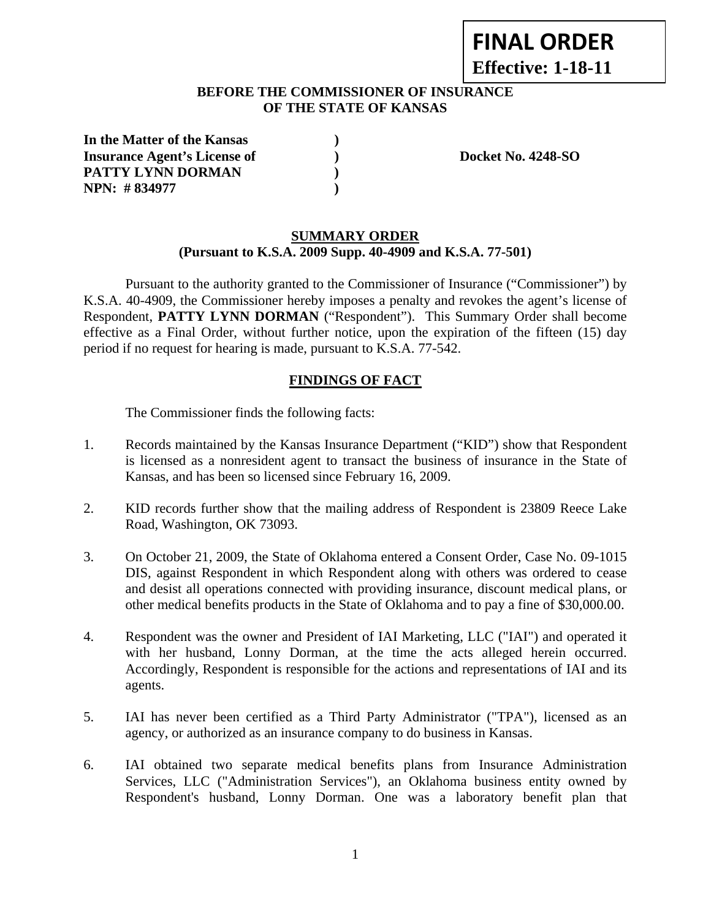# **FINAL ORDER Effective: 1-18-11**

#### **BEFORE THE COMMISSIONER OF INSURANCE OF THE STATE OF KANSAS**

| In the Matter of the Kansas         |  |
|-------------------------------------|--|
| <b>Insurance Agent's License of</b> |  |
| <b>PATTY LYNN DORMAN</b>            |  |
| NPN: #834977                        |  |

**Insurance Agent's Docket No. 4248-SO** 

## **SUMMARY ORDER (Pursuant to K.S.A. 2009 Supp. 40-4909 and K.S.A. 77-501)**

 Pursuant to the authority granted to the Commissioner of Insurance ("Commissioner") by K.S.A. 40-4909, the Commissioner hereby imposes a penalty and revokes the agent's license of Respondent, **PATTY LYNN DORMAN** ("Respondent"). This Summary Order shall become effective as a Final Order, without further notice, upon the expiration of the fifteen (15) day period if no request for hearing is made, pursuant to K.S.A. 77-542.

## **FINDINGS OF FACT**

The Commissioner finds the following facts:

- 1. Records maintained by the Kansas Insurance Department ("KID") show that Respondent is licensed as a nonresident agent to transact the business of insurance in the State of Kansas, and has been so licensed since February 16, 2009.
- 2. KID records further show that the mailing address of Respondent is 23809 Reece Lake Road, Washington, OK 73093.
- 3. On October 21, 2009, the State of Oklahoma entered a Consent Order, Case No. 09-1015 DIS, against Respondent in which Respondent along with others was ordered to cease and desist all operations connected with providing insurance, discount medical plans, or other medical benefits products in the State of Oklahoma and to pay a fine of \$30,000.00.
- 4. Respondent was the owner and President of IAI Marketing, LLC ("IAI") and operated it with her husband, Lonny Dorman, at the time the acts alleged herein occurred. Accordingly, Respondent is responsible for the actions and representations of IAI and its agents.
- 5. IAI has never been certified as a Third Party Administrator ("TPA"), licensed as an agency, or authorized as an insurance company to do business in Kansas.
- 6. IAI obtained two separate medical benefits plans from Insurance Administration Services, LLC ("Administration Services"), an Oklahoma business entity owned by Respondent's husband, Lonny Dorman. One was a laboratory benefit plan that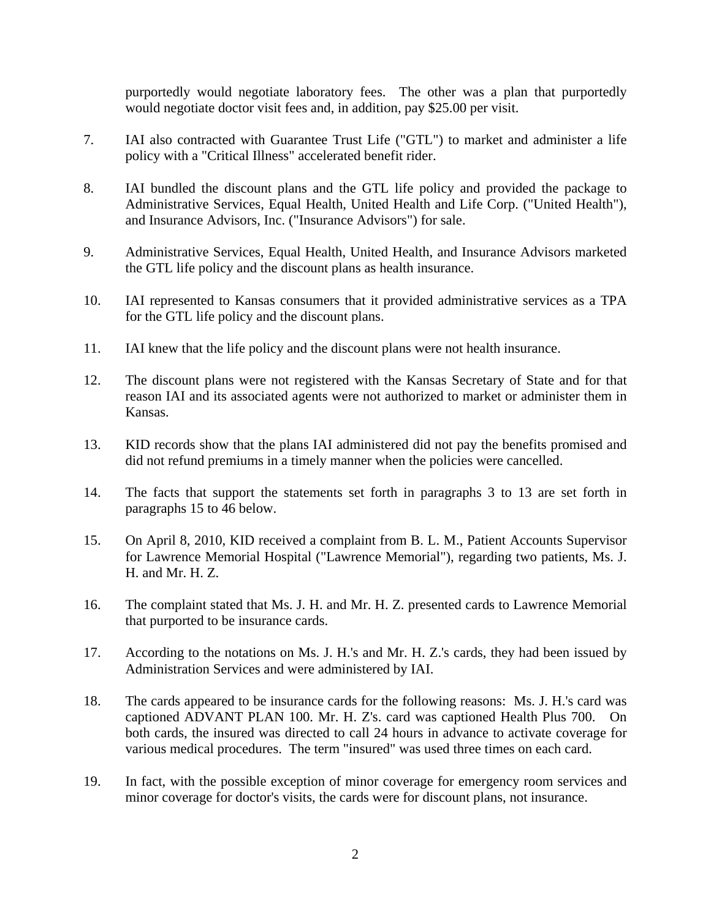purportedly would negotiate laboratory fees. The other was a plan that purportedly would negotiate doctor visit fees and, in addition, pay \$25.00 per visit.

- 7. IAI also contracted with Guarantee Trust Life ("GTL") to market and administer a life policy with a "Critical Illness" accelerated benefit rider.
- 8. IAI bundled the discount plans and the GTL life policy and provided the package to Administrative Services, Equal Health, United Health and Life Corp. ("United Health"), and Insurance Advisors, Inc. ("Insurance Advisors") for sale.
- 9. Administrative Services, Equal Health, United Health, and Insurance Advisors marketed the GTL life policy and the discount plans as health insurance.
- 10. IAI represented to Kansas consumers that it provided administrative services as a TPA for the GTL life policy and the discount plans.
- 11. IAI knew that the life policy and the discount plans were not health insurance.
- 12. The discount plans were not registered with the Kansas Secretary of State and for that reason IAI and its associated agents were not authorized to market or administer them in Kansas.
- 13. KID records show that the plans IAI administered did not pay the benefits promised and did not refund premiums in a timely manner when the policies were cancelled.
- 14. The facts that support the statements set forth in paragraphs 3 to 13 are set forth in paragraphs 15 to 46 below.
- 15. On April 8, 2010, KID received a complaint from B. L. M., Patient Accounts Supervisor for Lawrence Memorial Hospital ("Lawrence Memorial"), regarding two patients, Ms. J. H. and Mr. H. Z.
- 16. The complaint stated that Ms. J. H. and Mr. H. Z. presented cards to Lawrence Memorial that purported to be insurance cards.
- 17. According to the notations on Ms. J. H.'s and Mr. H. Z.'s cards, they had been issued by Administration Services and were administered by IAI.
- 18. The cards appeared to be insurance cards for the following reasons: Ms. J. H.'s card was captioned ADVANT PLAN 100. Mr. H. Z's. card was captioned Health Plus 700. On both cards, the insured was directed to call 24 hours in advance to activate coverage for various medical procedures. The term "insured" was used three times on each card.
- 19. In fact, with the possible exception of minor coverage for emergency room services and minor coverage for doctor's visits, the cards were for discount plans, not insurance.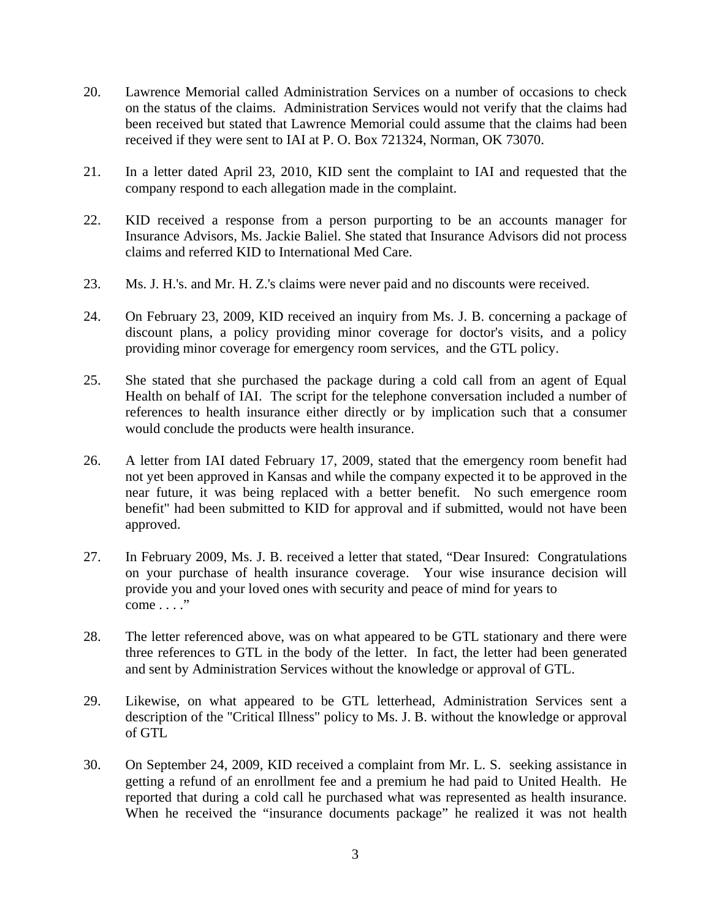- 20. Lawrence Memorial called Administration Services on a number of occasions to check on the status of the claims. Administration Services would not verify that the claims had been received but stated that Lawrence Memorial could assume that the claims had been received if they were sent to IAI at P. O. Box 721324, Norman, OK 73070.
- 21. In a letter dated April 23, 2010, KID sent the complaint to IAI and requested that the company respond to each allegation made in the complaint.
- 22. KID received a response from a person purporting to be an accounts manager for Insurance Advisors, Ms. Jackie Baliel. She stated that Insurance Advisors did not process claims and referred KID to International Med Care.
- 23. Ms. J. H.'s. and Mr. H. Z.'s claims were never paid and no discounts were received.
- 24. On February 23, 2009, KID received an inquiry from Ms. J. B. concerning a package of discount plans, a policy providing minor coverage for doctor's visits, and a policy providing minor coverage for emergency room services, and the GTL policy.
- 25. She stated that she purchased the package during a cold call from an agent of Equal Health on behalf of IAI. The script for the telephone conversation included a number of references to health insurance either directly or by implication such that a consumer would conclude the products were health insurance.
- 26. A letter from IAI dated February 17, 2009, stated that the emergency room benefit had not yet been approved in Kansas and while the company expected it to be approved in the near future, it was being replaced with a better benefit. No such emergence room benefit" had been submitted to KID for approval and if submitted, would not have been approved.
- 27. In February 2009, Ms. J. B. received a letter that stated, "Dear Insured: Congratulations on your purchase of health insurance coverage. Your wise insurance decision will provide you and your loved ones with security and peace of mind for years to  $come \dots$ ."
- 28. The letter referenced above, was on what appeared to be GTL stationary and there were three references to GTL in the body of the letter. In fact, the letter had been generated and sent by Administration Services without the knowledge or approval of GTL.
- 29. Likewise, on what appeared to be GTL letterhead, Administration Services sent a description of the "Critical Illness" policy to Ms. J. B. without the knowledge or approval of GTL
- 30. On September 24, 2009, KID received a complaint from Mr. L. S. seeking assistance in getting a refund of an enrollment fee and a premium he had paid to United Health. He reported that during a cold call he purchased what was represented as health insurance. When he received the "insurance documents package" he realized it was not health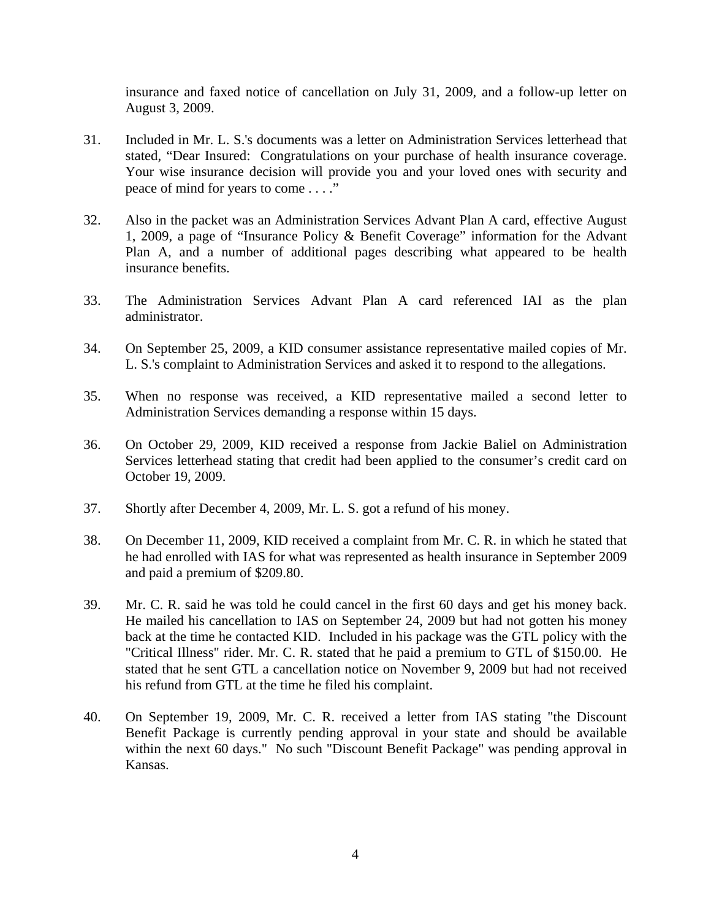insurance and faxed notice of cancellation on July 31, 2009, and a follow-up letter on August 3, 2009.

- 31. Included in Mr. L. S.'s documents was a letter on Administration Services letterhead that stated, "Dear Insured: Congratulations on your purchase of health insurance coverage. Your wise insurance decision will provide you and your loved ones with security and peace of mind for years to come . . . ."
- 32. Also in the packet was an Administration Services Advant Plan A card, effective August 1, 2009, a page of "Insurance Policy & Benefit Coverage" information for the Advant Plan A, and a number of additional pages describing what appeared to be health insurance benefits.
- 33. The Administration Services Advant Plan A card referenced IAI as the plan administrator.
- 34. On September 25, 2009, a KID consumer assistance representative mailed copies of Mr. L. S.'s complaint to Administration Services and asked it to respond to the allegations.
- 35. When no response was received, a KID representative mailed a second letter to Administration Services demanding a response within 15 days.
- 36. On October 29, 2009, KID received a response from Jackie Baliel on Administration Services letterhead stating that credit had been applied to the consumer's credit card on October 19, 2009.
- 37. Shortly after December 4, 2009, Mr. L. S. got a refund of his money.
- 38. On December 11, 2009, KID received a complaint from Mr. C. R. in which he stated that he had enrolled with IAS for what was represented as health insurance in September 2009 and paid a premium of \$209.80.
- 39. Mr. C. R. said he was told he could cancel in the first 60 days and get his money back. He mailed his cancellation to IAS on September 24, 2009 but had not gotten his money back at the time he contacted KID. Included in his package was the GTL policy with the "Critical Illness" rider. Mr. C. R. stated that he paid a premium to GTL of \$150.00. He stated that he sent GTL a cancellation notice on November 9, 2009 but had not received his refund from GTL at the time he filed his complaint.
- 40. On September 19, 2009, Mr. C. R. received a letter from IAS stating "the Discount Benefit Package is currently pending approval in your state and should be available within the next 60 days." No such "Discount Benefit Package" was pending approval in Kansas.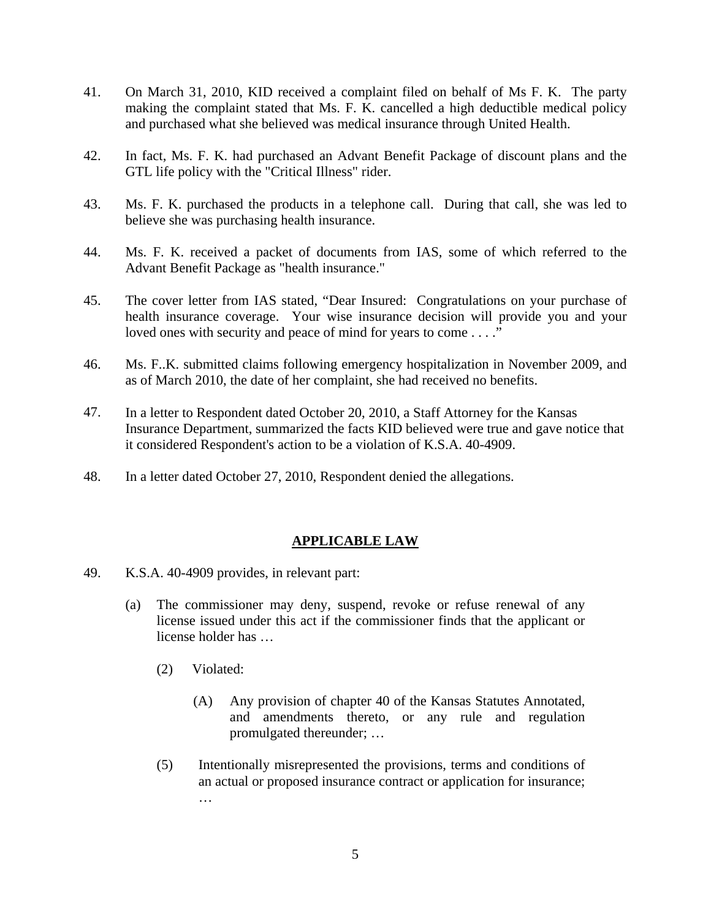- 41. On March 31, 2010, KID received a complaint filed on behalf of Ms F. K. The party making the complaint stated that Ms. F. K. cancelled a high deductible medical policy and purchased what she believed was medical insurance through United Health.
- 42. In fact, Ms. F. K. had purchased an Advant Benefit Package of discount plans and the GTL life policy with the "Critical Illness" rider.
- 43. Ms. F. K. purchased the products in a telephone call. During that call, she was led to believe she was purchasing health insurance.
- 44. Ms. F. K. received a packet of documents from IAS, some of which referred to the Advant Benefit Package as "health insurance."
- 45. The cover letter from IAS stated, "Dear Insured: Congratulations on your purchase of health insurance coverage. Your wise insurance decision will provide you and your loved ones with security and peace of mind for years to come . . . ."
- 46. Ms. F..K. submitted claims following emergency hospitalization in November 2009, and as of March 2010, the date of her complaint, she had received no benefits.
- 47. In a letter to Respondent dated October 20, 2010, a Staff Attorney for the Kansas Insurance Department, summarized the facts KID believed were true and gave notice that it considered Respondent's action to be a violation of K.S.A. 40-4909.
- 48. In a letter dated October 27, 2010, Respondent denied the allegations.

## **APPLICABLE LAW**

- 49. K.S.A. 40-4909 provides, in relevant part:
	- (a) The commissioner may deny, suspend, revoke or refuse renewal of any license issued under this act if the commissioner finds that the applicant or license holder has …
		- (2) Violated:
			- (A) Any provision of chapter 40 of the Kansas Statutes Annotated, and amendments thereto, or any rule and regulation promulgated thereunder; …
		- (5) Intentionally misrepresented the provisions, terms and conditions of an actual or proposed insurance contract or application for insurance; …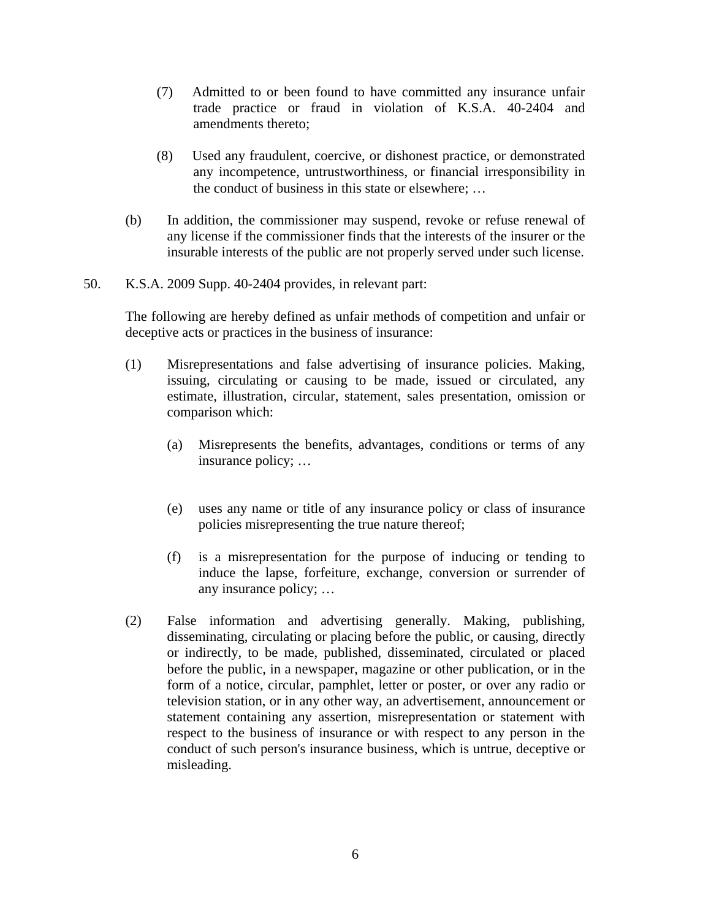- (7) Admitted to or been found to have committed any insurance unfair trade practice or fraud in violation of K.S.A. 40-2404 and amendments thereto;
- (8) Used any fraudulent, coercive, or dishonest practice, or demonstrated any incompetence, untrustworthiness, or financial irresponsibility in the conduct of business in this state or elsewhere; …
- (b) In addition, the commissioner may suspend, revoke or refuse renewal of any license if the commissioner finds that the interests of the insurer or the insurable interests of the public are not properly served under such license.
- 50. K.S.A. 2009 Supp. 40-2404 provides, in relevant part:

The following are hereby defined as unfair methods of competition and unfair or deceptive acts or practices in the business of insurance:

- (1) Misrepresentations and false advertising of insurance policies. Making, issuing, circulating or causing to be made, issued or circulated, any estimate, illustration, circular, statement, sales presentation, omission or comparison which:
	- (a) Misrepresents the benefits, advantages, conditions or terms of any insurance policy; …
	- (e) uses any name or title of any insurance policy or class of insurance policies misrepresenting the true nature thereof;
	- (f) is a misrepresentation for the purpose of inducing or tending to induce the lapse, forfeiture, exchange, conversion or surrender of any insurance policy; …
- (2) False information and advertising generally. Making, publishing, disseminating, circulating or placing before the public, or causing, directly or indirectly, to be made, published, disseminated, circulated or placed before the public, in a newspaper, magazine or other publication, or in the form of a notice, circular, pamphlet, letter or poster, or over any radio or television station, or in any other way, an advertisement, announcement or statement containing any assertion, misrepresentation or statement with respect to the business of insurance or with respect to any person in the conduct of such person's insurance business, which is untrue, deceptive or misleading.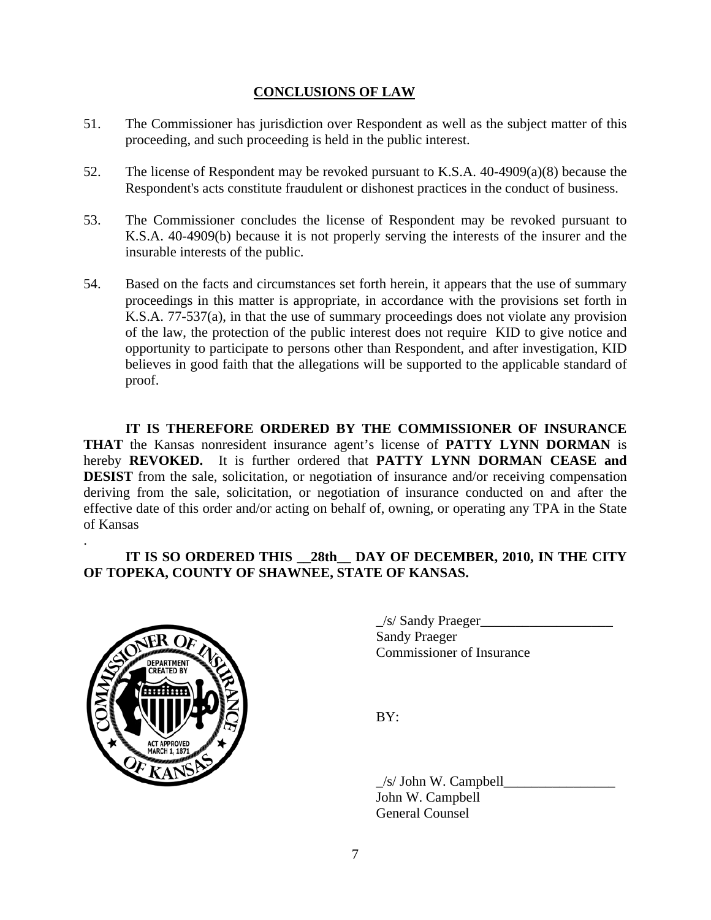#### **CONCLUSIONS OF LAW**

- 51. The Commissioner has jurisdiction over Respondent as well as the subject matter of this proceeding, and such proceeding is held in the public interest.
- 52. The license of Respondent may be revoked pursuant to K.S.A. 40-4909(a)(8) because the Respondent's acts constitute fraudulent or dishonest practices in the conduct of business.
- 53. The Commissioner concludes the license of Respondent may be revoked pursuant to K.S.A. 40-4909(b) because it is not properly serving the interests of the insurer and the insurable interests of the public.
- 54. Based on the facts and circumstances set forth herein, it appears that the use of summary proceedings in this matter is appropriate, in accordance with the provisions set forth in K.S.A. 77-537(a), in that the use of summary proceedings does not violate any provision of the law, the protection of the public interest does not require KID to give notice and opportunity to participate to persons other than Respondent, and after investigation, KID believes in good faith that the allegations will be supported to the applicable standard of proof.

 **IT IS THEREFORE ORDERED BY THE COMMISSIONER OF INSURANCE THAT** the Kansas nonresident insurance agent's license of **PATTY LYNN DORMAN** is hereby **REVOKED.** It is further ordered that **PATTY LYNN DORMAN CEASE and DESIST** from the sale, solicitation, or negotiation of insurance and/or receiving compensation deriving from the sale, solicitation, or negotiation of insurance conducted on and after the effective date of this order and/or acting on behalf of, owning, or operating any TPA in the State of Kansas

## **IT IS SO ORDERED THIS \_\_28th\_\_ DAY OF DECEMBER, 2010, IN THE CITY OF TOPEKA, COUNTY OF SHAWNEE, STATE OF KANSAS.**



.

 \_/s/ Sandy Praeger\_\_\_\_\_\_\_\_\_\_\_\_\_\_\_\_\_\_\_ Sandy Praeger

 $/s/$  John W. Campbell John W. Campbell General Counsel